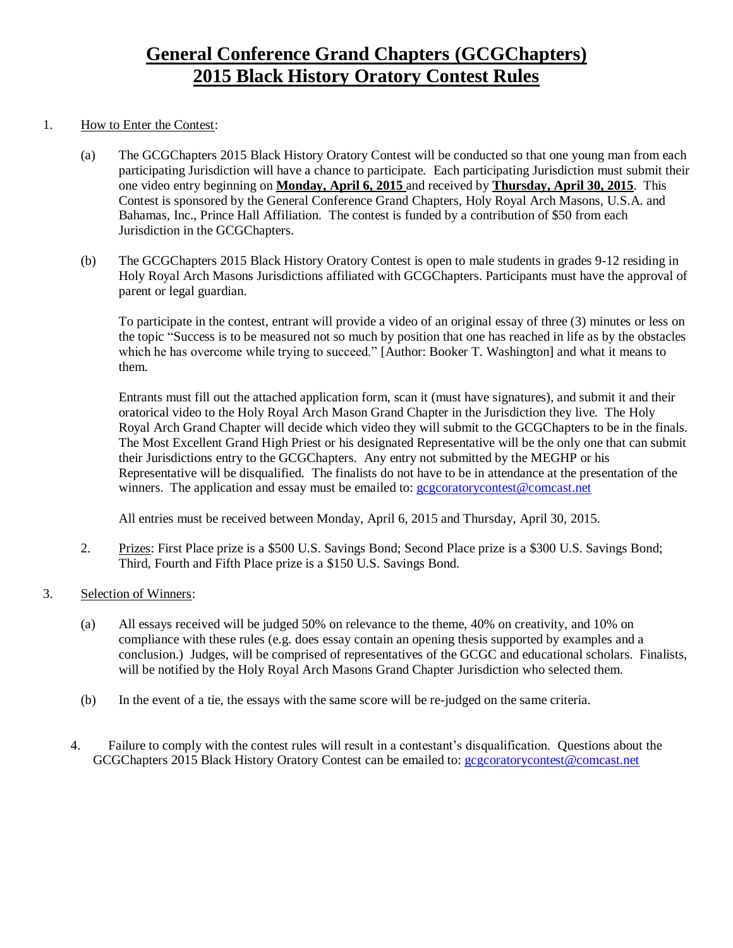## **General Conference Grand Chapters (GCGChapters) 2015 Black History Oratory Contest Rules**

#### 1. How to Enter the Contest:

- (a) The GCGChapters 2015 Black History Oratory Contest will be conducted so that one young man from each participating Jurisdiction will have a chance to participate. Each participating Jurisdiction must submit their one video entry beginning on **Monday, April 6, 2015** and received by **Thursday, April 30, 2015**. This Contest is sponsored by the General Conference Grand Chapters, Holy Royal Arch Masons, U.S.A. and Bahamas, Inc., Prince Hall Affiliation. The contest is funded by a contribution of \$50 from each Jurisdiction in the GCGChapters.
- (b) The GCGChapters 2015 Black History Oratory Contest is open to male students in grades 9-12 residing in Holy Royal Arch Masons Jurisdictions affiliated with GCGChapters. Participants must have the approval of parent or legal guardian.

To participate in the contest, entrant will provide a video of an original essay of three (3) minutes or less on the topic "Success is to be measured not so much by position that one has reached in life as by the obstacles which he has overcome while trying to succeed." [Author: Booker T. Washington] and what it means to them.

Entrants must fill out the attached application form, scan it (must have signatures), and submit it and their oratorical video to the Holy Royal Arch Mason Grand Chapter in the Jurisdiction they live. The Holy Royal Arch Grand Chapter will decide which video they will submit to the GCGChapters to be in the finals. The Most Excellent Grand High Priest or his designated Representative will be the only one that can submit their Jurisdictions entry to the GCGChapters. Any entry not submitted by the MEGHP or his Representative will be disqualified. The finalists do not have to be in attendance at the presentation of the winners. The application and essay must be emailed to: **gcgcoratorycontest@comcast.net** 

All entries must be received between Monday, April 6, 2015 and Thursday, April 30, 2015.

- 2. Prizes: First Place prize is a \$500 U.S. Savings Bond; Second Place prize is a \$300 U.S. Savings Bond; Third, Fourth and Fifth Place prize is a \$150 U.S. Savings Bond.
- 3. Selection of Winners:
	- (a) All essays received will be judged 50% on relevance to the theme, 40% on creativity, and 10% on compliance with these rules (e.g. does essay contain an opening thesis supported by examples and a conclusion.) Judges, will be comprised of representatives of the GCGC and educational scholars. Finalists, will be notified by the Holy Royal Arch Masons Grand Chapter Jurisdiction who selected them.
	- (b) In the event of a tie, the essays with the same score will be re-judged on the same criteria.
	- 4. Failure to comply with the contest rules will result in a contestant's disqualification. Questions about the GCGChapters 2015 Black History Oratory Contest can be emailed to: gcgcoratorycontest@comcast.net